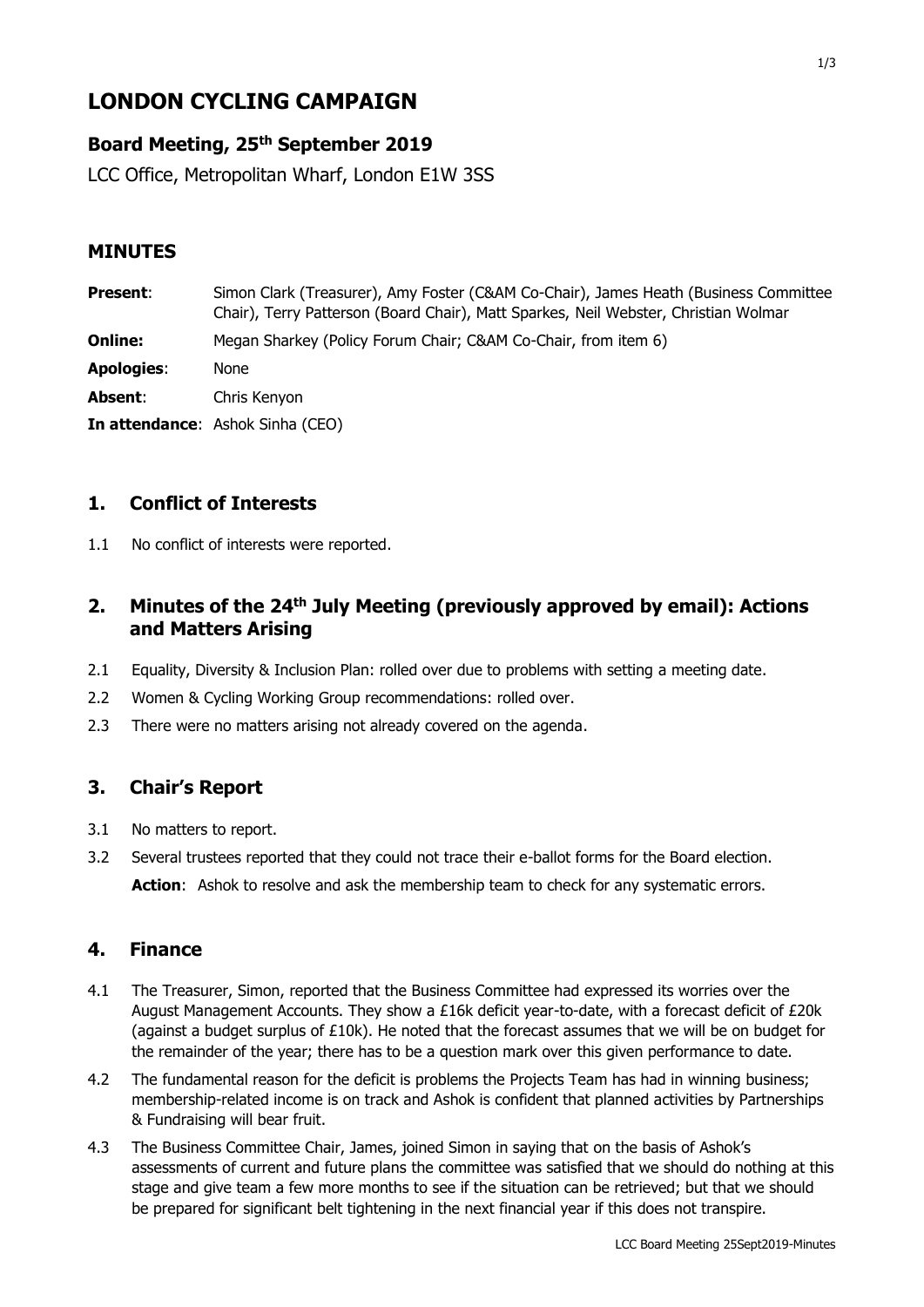# **LONDON CYCLING CAMPAIGN**

# **Board Meeting, 25 th September 2019**

LCC Office, Metropolitan Wharf, London E1W 3SS

## **MINUTES**

| <b>Present:</b>   | Simon Clark (Treasurer), Amy Foster (C&AM Co-Chair), James Heath (Business Committee<br>Chair), Terry Patterson (Board Chair), Matt Sparkes, Neil Webster, Christian Wolmar |
|-------------------|-----------------------------------------------------------------------------------------------------------------------------------------------------------------------------|
| <b>Online:</b>    | Megan Sharkey (Policy Forum Chair; C&AM Co-Chair, from item 6)                                                                                                              |
| <b>Apologies:</b> | None                                                                                                                                                                        |
| Absent:           | Chris Kenyon                                                                                                                                                                |
|                   | <b>In attendance:</b> Ashok Sinha (CEO)                                                                                                                                     |

## **1. Conflict of Interests**

1.1 No conflict of interests were reported.

## 2. Minutes of the 24<sup>th</sup> July Meeting (previously approved by email): Actions **and Matters Arising**

- 2.1 Equality, Diversity & Inclusion Plan: rolled over due to problems with setting a meeting date.
- 2.2 Women & Cycling Working Group recommendations: rolled over.
- 2.3 There were no matters arising not already covered on the agenda.

#### **3. Chair's Report**

- 3.1 No matters to report.
- 3.2 Several trustees reported that they could not trace their e-ballot forms for the Board election. **Action:** Ashok to resolve and ask the membership team to check for any systematic errors.

## **4. Finance**

- 4.1 The Treasurer, Simon, reported that the Business Committee had expressed its worries over the August Management Accounts. They show a £16k deficit year-to-date, with a forecast deficit of £20k (against a budget surplus of  $£10k$ ). He noted that the forecast assumes that we will be on budget for the remainder of the year; there has to be a question mark over this given performance to date.
- 4.2 The fundamental reason for the deficit is problems the Projects Team has had in winning business; membership-related income is on track and Ashok is confident that planned activities by Partnerships & Fundraising will bear fruit.
- 4.3 The Business Committee Chair, James, joined Simon in saying that on the basis of Ashok's assessments of current and future plans the committee was satisfied that we should do nothing at this stage and give team a few more months to see if the situation can be retrieved; but that we should be prepared for significant belt tightening in the next financial year if this does not transpire.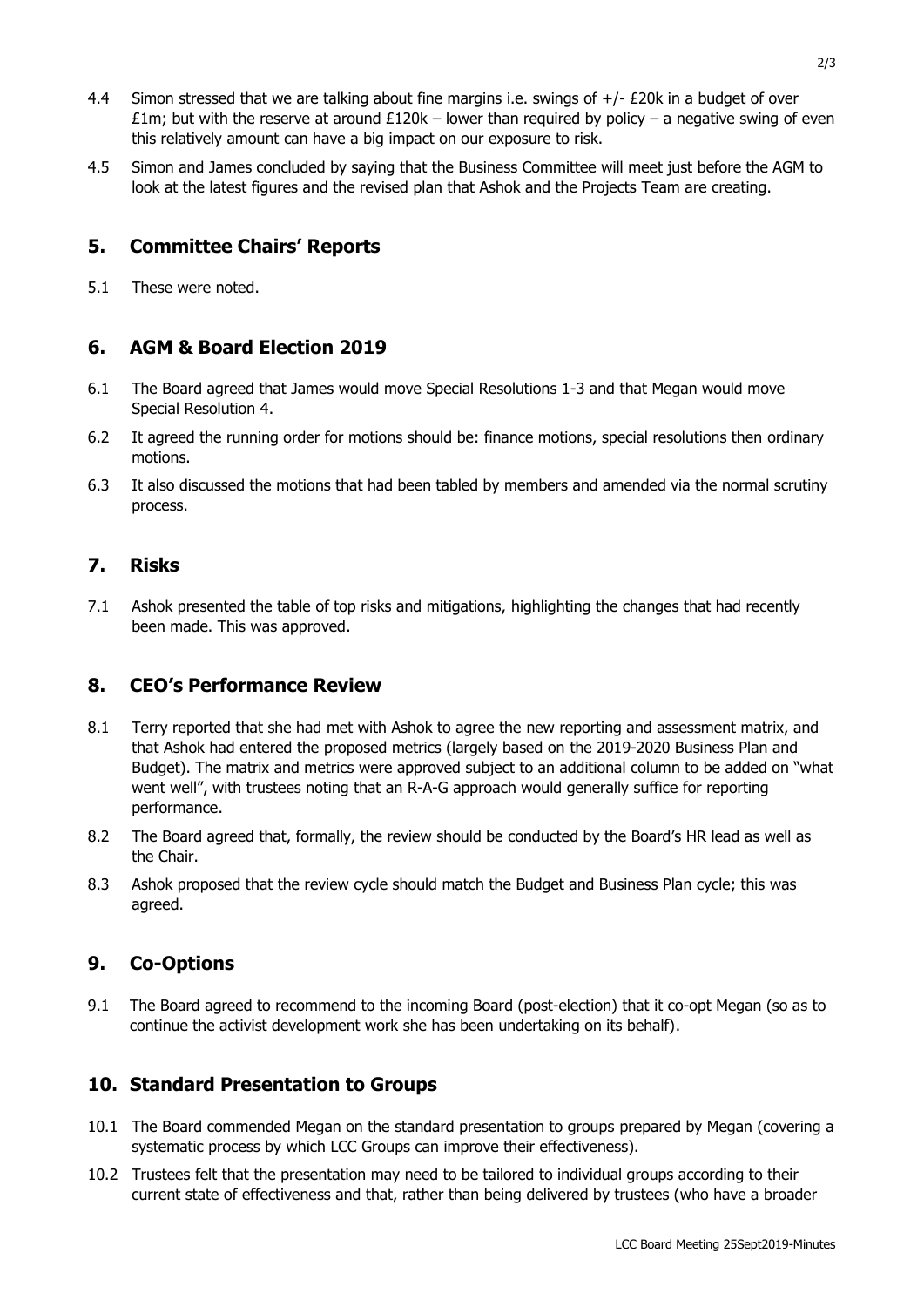- 4.4 Simon stressed that we are talking about fine margins i.e. swings of +/- £20k in a budget of over £1m; but with the reserve at around £120k – lower than required by policy – a negative swing of even this relatively amount can have a big impact on our exposure to risk.
- 4.5 Simon and James concluded by saying that the Business Committee will meet just before the AGM to look at the latest figures and the revised plan that Ashok and the Projects Team are creating.

#### **5. Committee Chairs' Reports**

5.1 These were noted.

#### **6. AGM & Board Election 2019**

- 6.1 The Board agreed that James would move Special Resolutions 1-3 and that Megan would move Special Resolution 4.
- 6.2 It agreed the running order for motions should be: finance motions, special resolutions then ordinary motions.
- 6.3 It also discussed the motions that had been tabled by members and amended via the normal scrutiny process.

#### **7. Risks**

7.1 Ashok presented the table of top risks and mitigations, highlighting the changes that had recently been made. This was approved.

#### **8. CEO's Performance Review**

- 8.1 Terry reported that she had met with Ashok to agree the new reporting and assessment matrix, and that Ashok had entered the proposed metrics (largely based on the 2019-2020 Business Plan and Budget). The matrix and metrics were approved subject to an additional column to be added on "what went well", with trustees noting that an R-A-G approach would generally suffice for reporting performance.
- 8.2 The Board agreed that, formally, the review should be conducted by the Board's HR lead as well as the Chair.
- 8.3 Ashok proposed that the review cycle should match the Budget and Business Plan cycle; this was agreed.

#### **9. Co-Options**

9.1 The Board agreed to recommend to the incoming Board (post-election) that it co-opt Megan (so as to continue the activist development work she has been undertaking on its behalf).

#### **10. Standard Presentation to Groups**

- 10.1 The Board commended Megan on the standard presentation to groups prepared by Megan (covering a systematic process by which LCC Groups can improve their effectiveness).
- 10.2 Trustees felt that the presentation may need to be tailored to individual groups according to their current state of effectiveness and that, rather than being delivered by trustees (who have a broader